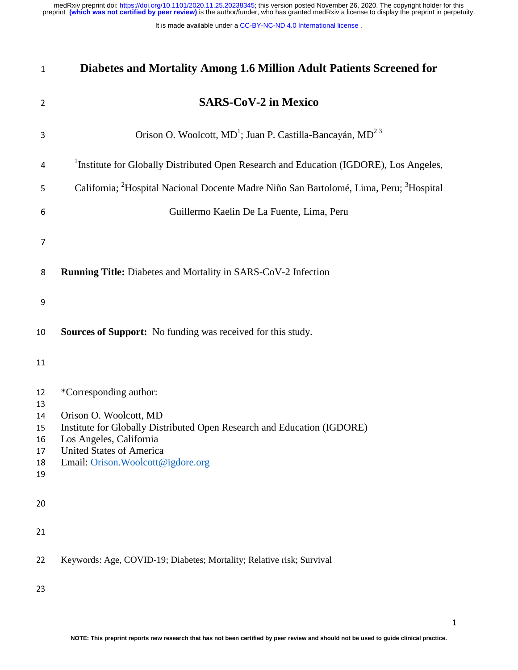| $\mathbf{1}$                     | Diabetes and Mortality Among 1.6 Million Adult Patients Screened for                                                                                                                                  |
|----------------------------------|-------------------------------------------------------------------------------------------------------------------------------------------------------------------------------------------------------|
| $\overline{2}$                   | <b>SARS-CoV-2 in Mexico</b>                                                                                                                                                                           |
| 3                                | Orison O. Woolcott, MD <sup>1</sup> ; Juan P. Castilla-Bancayán, MD <sup>23</sup>                                                                                                                     |
| 4                                | <sup>1</sup> Institute for Globally Distributed Open Research and Education (IGDORE), Los Angeles,                                                                                                    |
| 5                                | California; <sup>2</sup> Hospital Nacional Docente Madre Niño San Bartolomé, Lima, Peru; <sup>3</sup> Hospital                                                                                        |
| 6                                | Guillermo Kaelin De La Fuente, Lima, Peru                                                                                                                                                             |
| 7                                |                                                                                                                                                                                                       |
| 8                                | <b>Running Title:</b> Diabetes and Mortality in SARS-CoV-2 Infection                                                                                                                                  |
| 9                                |                                                                                                                                                                                                       |
| 10                               | Sources of Support: No funding was received for this study.                                                                                                                                           |
| 11                               |                                                                                                                                                                                                       |
| 12<br>13                         | *Corresponding author:                                                                                                                                                                                |
| 14<br>15<br>16<br>17<br>18<br>19 | Orison O. Woolcott, MD<br>Institute for Globally Distributed Open Research and Education (IGDORE)<br>Los Angeles, California<br><b>United States of America</b><br>Email: Orison. Woolcott@igdore.org |
| 20                               |                                                                                                                                                                                                       |
| 21                               |                                                                                                                                                                                                       |
| 22                               | Keywords: Age, COVID-19; Diabetes; Mortality; Relative risk; Survival                                                                                                                                 |
| 23                               |                                                                                                                                                                                                       |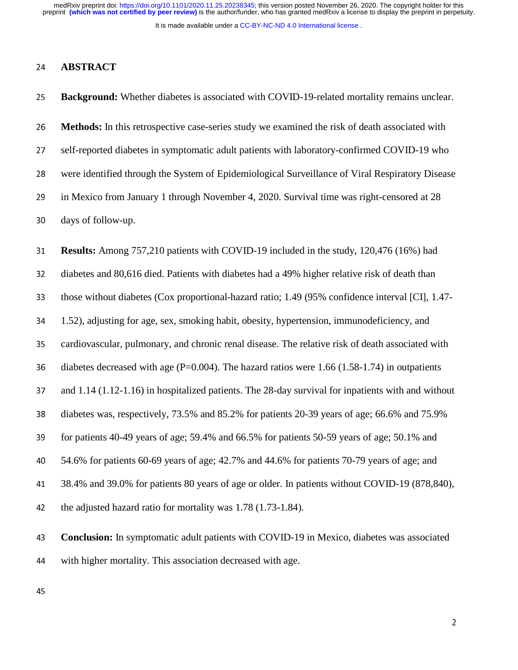It is made available under a [CC-BY-NC-ND 4.0 International license](http://creativecommons.org/licenses/by-nc-nd/4.0/) .

### <sup>24</sup>**ABSTRACT**

<sup>25</sup>**Background:** Whether diabetes is associated with COVID-19-related mortality remains unclear.

<sup>26</sup>**Methods:** In this retrospective case-series study we examined the risk of death associated with 27 self-reported diabetes in symptomatic adult patients with laboratory-confirmed COVID-19 who <sup>28</sup>were identified through the System of Epidemiological Surveillance of Viral Respiratory Disease 29 in Mexico from January 1 through November 4, 2020. Survival time was right-censored at 28 30 days of follow-up.

<sup>31</sup>**Results:** Among 757,210 patients with COVID-19 included in the study, 120,476 (16%) had 32 diabetes and 80,616 died. Patients with diabetes had a 49% higher relative risk of death than 33 those without diabetes (Cox proportional-hazard ratio; 1.49 (95% confidence interval [CI], 1.47-34 1.52), adjusting for age, sex, smoking habit, obesity, hypertension, immunodeficiency, and 35 cardiovascular, pulmonary, and chronic renal disease. The relative risk of death associated with 36 diabetes decreased with age (P=0.004). The hazard ratios were 1.66 (1.58-1.74) in outpatients 37 and 1.14 (1.12-1.16) in hospitalized patients. The 28-day survival for inpatients with and without 38 diabetes was, respectively, 73.5% and 85.2% for patients 20-39 years of age; 66.6% and 75.9% 39 for patients 40-49 years of age; 59.4% and 66.5% for patients 50-59 years of age; 50.1% and <sup>40</sup>54.6% for patients 60-69 years of age; 42.7% and 44.6% for patients 70-79 years of age; and <sup>41</sup>38.4% and 39.0% for patients 80 years of age or older. In patients without COVID-19 (878,840), 42 the adjusted hazard ratio for mortality was  $1.78$  (1.73-1.84).

<sup>43</sup>**Conclusion:** In symptomatic adult patients with COVID-19 in Mexico, diabetes was associated 44 with higher mortality. This association decreased with age.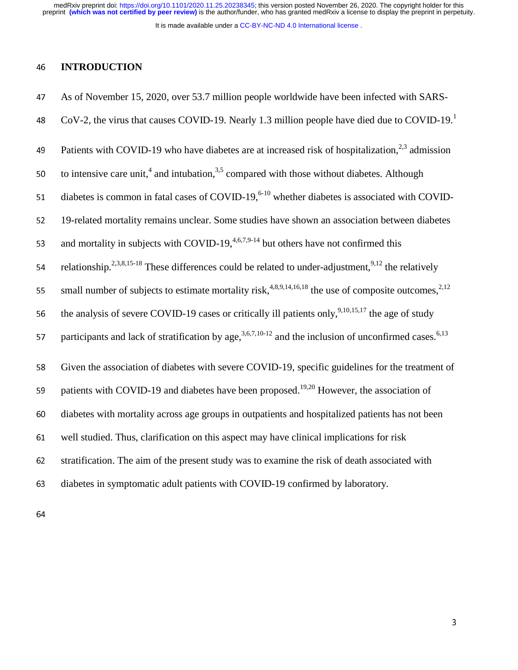It is made available under a [CC-BY-NC-ND 4.0 International license](http://creativecommons.org/licenses/by-nc-nd/4.0/) .

# **INTRODUCTION**

| 47 | As of November 15, 2020, over 53.7 million people worldwide have been infected with SARS-                                   |
|----|-----------------------------------------------------------------------------------------------------------------------------|
| 48 | CoV-2, the virus that causes COVID-19. Nearly 1.3 million people have died due to COVID-19.                                 |
| 49 | Patients with COVID-19 who have diabetes are at increased risk of hospitalization, <sup>2,3</sup> admission                 |
| 50 | to intensive care unit, <sup>4</sup> and intubation, $3.5$ compared with those without diabetes. Although                   |
| 51 | diabetes is common in fatal cases of COVID-19, $6-10$ whether diabetes is associated with COVID-                            |
| 52 | 19-related mortality remains unclear. Some studies have shown an association between diabetes                               |
| 53 | and mortality in subjects with COVID-19, <sup>4,6,7,9-14</sup> but others have not confirmed this                           |
| 54 | relationship. <sup>2,3,8,15-18</sup> These differences could be related to under-adjustment, <sup>9,12</sup> the relatively |
| 55 | small number of subjects to estimate mortality risk, $4,89,14,16,18$ the use of composite outcomes, $2,12$                  |
| 56 | the analysis of severe COVID-19 cases or critically ill patients only, $9,10,15,17$ the age of study                        |
| 57 | participants and lack of stratification by age, $3,6,7,10-12$ and the inclusion of unconfirmed cases. <sup>6,13</sup>       |
| 58 | Given the association of diabetes with severe COVID-19, specific guidelines for the treatment of                            |
| 59 | patients with COVID-19 and diabetes have been proposed. <sup>19,20</sup> However, the association of                        |
| 60 | diabetes with mortality across age groups in outpatients and hospitalized patients has not been                             |
| 61 | well studied. Thus, clarification on this aspect may have clinical implications for risk                                    |
| 62 | stratification. The aim of the present study was to examine the risk of death associated with                               |
| 63 | diabetes in symptomatic adult patients with COVID-19 confirmed by laboratory.                                               |
|    |                                                                                                                             |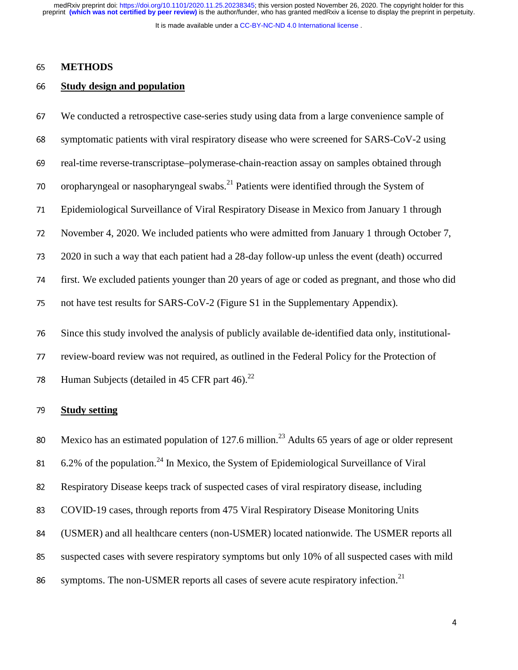It is made available under a [CC-BY-NC-ND 4.0 International license](http://creativecommons.org/licenses/by-nc-nd/4.0/) .

## <sup>65</sup>**METHODS**

## <sup>66</sup>**Study design and population**

<sup>67</sup>We conducted a retrospective case-series study using data from a large convenience sample of 68 symptomatic patients with viral respiratory disease who were screened for SARS-CoV-2 using 69 real-time reverse-transcriptase–polymerase-chain-reaction assay on samples obtained through 70 oropharyngeal or nasopharyngeal swabs.<sup>21</sup> Patients were identified through the System of <sup>71</sup>Epidemiological Surveillance of Viral Respiratory Disease in Mexico from January 1 through 72 November 4, 2020. We included patients who were admitted from January 1 through October 7, <sup>73</sup>2020 in such a way that each patient had a 28-day follow-up unless the event (death) occurred <sup>74</sup>first. We excluded patients younger than 20 years of age or coded as pregnant, and those who did 75 not have test results for SARS-CoV-2 (Figure S1 in the Supplementary Appendix). 76 Since this study involved the analysis of publicly available de-identified data only, institutional-77 review-board review was not required, as outlined in the Federal Policy for the Protection of

78 Human Subjects (detailed in 45 CFR part 46). $^{22}$ 

### <sup>79</sup>**Study setting**

80 Mexico has an estimated population of 127.6 million.<sup>23</sup> Adults 65 years of age or older represent

81 6.2% of the population.<sup>24</sup> In Mexico, the System of Epidemiological Surveillance of Viral

<sup>82</sup>Respiratory Disease keeps track of suspected cases of viral respiratory disease, including

83 COVID-19 cases, through reports from 475 Viral Respiratory Disease Monitoring Units

<sup>84</sup>(USMER) and all healthcare centers (non-USMER) located nationwide. The USMER reports all

<sup>85</sup>suspected cases with severe respiratory symptoms but only 10% of all suspected cases with mild

86 symptoms. The non-USMER reports all cases of severe acute respiratory infection.<sup>21</sup>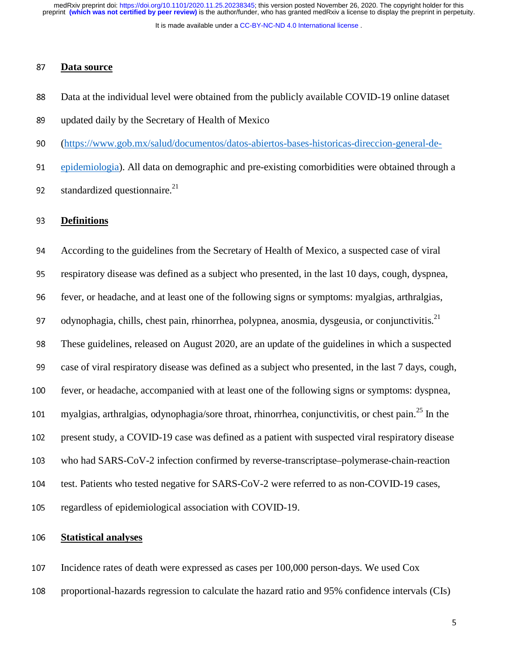It is made available under a [CC-BY-NC-ND 4.0 International license](http://creativecommons.org/licenses/by-nc-nd/4.0/) .

## <sup>87</sup>**Data source**

- 88 Data at the individual level were obtained from the publicly available COVID-19 online dataset
- 89 updated daily by the Secretary of Health of Mexico
- 90 (https://www.gob.mx/salud/documentos/datos-abiertos-bases-historicas-direccion-general-de-

<sup>91</sup>epidemiologia). All data on demographic and pre-existing comorbidities were obtained through a 92 standardized questionnaire. $^{21}$ 

#### <sup>93</sup>**Definitions**

<sup>94</sup>According to the guidelines from the Secretary of Health of Mexico, a suspected case of viral <sup>95</sup>respiratory disease was defined as a subject who presented, in the last 10 days, cough, dyspnea, <sup>96</sup>fever, or headache, and at least one of the following signs or symptoms: myalgias, arthralgias, 97 odynophagia, chills, chest pain, rhinorrhea, polypnea, anosmia, dysgeusia, or conjunctivitis. $^{21}$ <sup>98</sup>These guidelines, released on August 2020, are an update of the guidelines in which a suspected 99 case of viral respiratory disease was defined as a subject who presented, in the last 7 days, cough, 100 fever, or headache, accompanied with at least one of the following signs or symptoms: dyspnea, 101 myalgias, arthralgias, odynophagia/sore throat, rhinorrhea, conjunctivitis, or chest pain.<sup>25</sup> In the 102 present study, a COVID-19 case was defined as a patient with suspected viral respiratory disease 103 who had SARS-CoV-2 infection confirmed by reverse-transcriptase–polymerase-chain-reaction 104 test. Patients who tested negative for SARS-CoV-2 were referred to as non-COVID-19 cases, 105 regardless of epidemiological association with COVID-19.

# <sup>106</sup>**Statistical analyses**

- 107 Incidence rates of death were expressed as cases per 100,000 person-days. We used Cox
- 108 proportional-hazards regression to calculate the hazard ratio and 95% confidence intervals (CIs)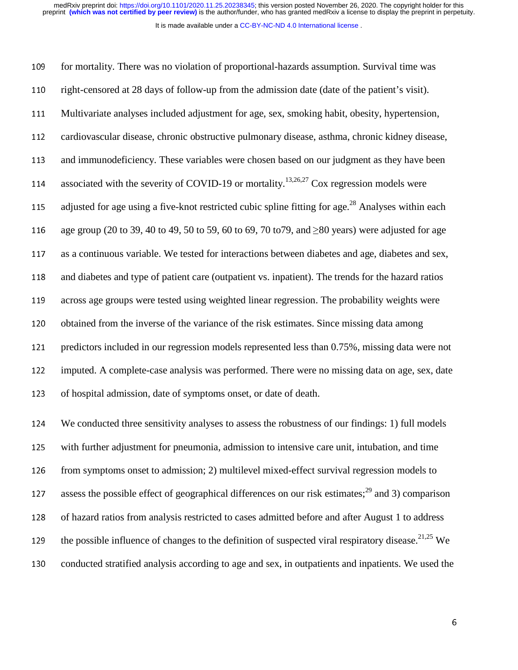It is made available under a [CC-BY-NC-ND 4.0 International license](http://creativecommons.org/licenses/by-nc-nd/4.0/) .

109 for mortality. There was no violation of proportional-hazards assumption. Survival time was 110 right-censored at 28 days of follow-up from the admission date (date of the patient's visit). 111 Multivariate analyses included adjustment for age, sex, smoking habit, obesity, hypertension, 112 cardiovascular disease, chronic obstructive pulmonary disease, asthma, chronic kidney disease, 113 and immunodeficiency. These variables were chosen based on our judgment as they have been 114 associated with the severity of COVID-19 or mortality.<sup>13,26,27</sup> Cox regression models were 115 adjusted for age using a five-knot restricted cubic spline fitting for age.<sup>28</sup> Analyses within each 116 age group (20 to 39, 40 to 49, 50 to 59, 60 to 69, 70 to 79, and  $\geq 80$  years) were adjusted for age 117 as a continuous variable. We tested for interactions between diabetes and age, diabetes and sex, 118 and diabetes and type of patient care (outpatient vs. inpatient). The trends for the hazard ratios 119 across age groups were tested using weighted linear regression. The probability weights were 120 obtained from the inverse of the variance of the risk estimates. Since missing data among 121 predictors included in our regression models represented less than 0.75%, missing data were not 122 imputed. A complete-case analysis was performed. There were no missing data on age, sex, date 123 of hospital admission, date of symptoms onset, or date of death.

<sup>124</sup>We conducted three sensitivity analyses to assess the robustness of our findings: 1) full models 125 with further adjustment for pneumonia, admission to intensive care unit, intubation, and time 126 from symptoms onset to admission; 2) multilevel mixed-effect survival regression models to 127 assess the possible effect of geographical differences on our risk estimates;<sup>29</sup> and 3) comparison 128 of hazard ratios from analysis restricted to cases admitted before and after August 1 to address the possible influence of changes to the definition of suspected viral respiratory disease.<sup>21,25</sup> We 130 conducted stratified analysis according to age and sex, in outpatients and inpatients. We used the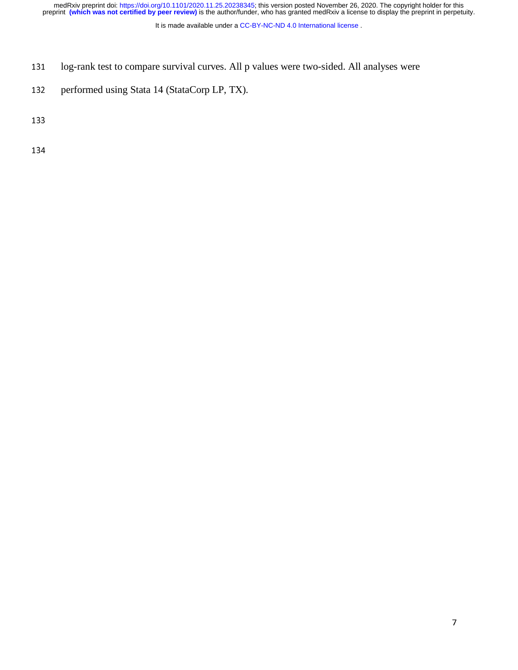It is made available under a [CC-BY-NC-ND 4.0 International license](http://creativecommons.org/licenses/by-nc-nd/4.0/) .

- 131 log-rank test to compare survival curves. All p values were two-sided. All analyses were
- 132 performed using Stata 14 (StataCorp LP, TX).

133

134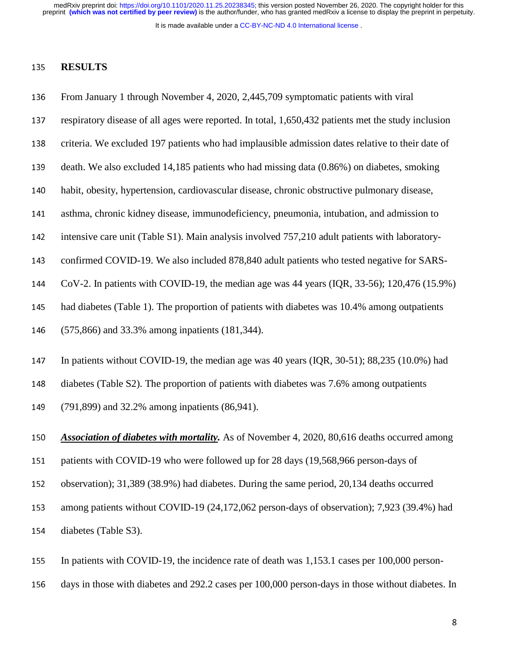It is made available under a [CC-BY-NC-ND 4.0 International license](http://creativecommons.org/licenses/by-nc-nd/4.0/) .

### <sup>135</sup>**RESULTS**

- 136 From January 1 through November 4, 2020, 2,445,709 symptomatic patients with viral
- 137 respiratory disease of all ages were reported. In total, 1,650,432 patients met the study inclusion
- 138 criteria. We excluded 197 patients who had implausible admission dates relative to their date of
- 139 death. We also excluded 14,185 patients who had missing data (0.86%) on diabetes, smoking
- 140 habit, obesity, hypertension, cardiovascular disease, chronic obstructive pulmonary disease,
- 141 asthma, chronic kidney disease, immunodeficiency, pneumonia, intubation, and admission to
- 142 intensive care unit (Table S1). Main analysis involved 757,210 adult patients with laboratory-
- 143 confirmed COVID-19. We also included 878,840 adult patients who tested negative for SARS-
- <sup>144</sup>CoV-2. In patients with COVID-19, the median age was 44 years (IQR, 33-56); 120,476 (15.9%)
- 145 had diabetes (Table 1). The proportion of patients with diabetes was 10.4% among outpatients
- <sup>146</sup>(575,866) and 33.3% among inpatients (181,344).
- 147 In patients without COVID-19, the median age was 40 years (IOR, 30-51); 88,235 (10.0%) had
- 148 diabetes (Table S2). The proportion of patients with diabetes was 7.6% among outpatients
- 149 (791,899) and 32.2% among inpatients (86,941).
- <sup>150</sup>*Association of diabetes with mortality.* As of November 4, 2020, 80,616 deaths occurred among
- 151 patients with COVID-19 who were followed up for 28 days (19,568,966 person-days of
- 152 observation); 31,389 (38.9%) had diabetes. During the same period, 20,134 deaths occurred
- 153 among patients without COVID-19 (24,172,062 person-days of observation); 7,923 (39.4%) had
- 154 diabetes (Table S3).
- 155 In patients with COVID-19, the incidence rate of death was 1,153.1 cases per 100,000 person-
- 156 days in those with diabetes and 292.2 cases per 100,000 person-days in those without diabetes. In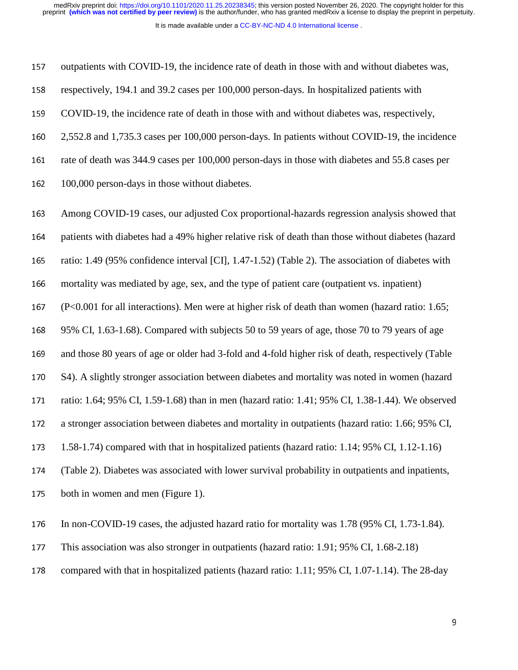It is made available under a [CC-BY-NC-ND 4.0 International license](http://creativecommons.org/licenses/by-nc-nd/4.0/) .

157 outpatients with COVID-19, the incidence rate of death in those with and without diabetes was,

158 respectively, 194.1 and 39.2 cases per 100,000 person-days. In hospitalized patients with <sup>159</sup>COVID-19, the incidence rate of death in those with and without diabetes was, respectively, <sup>160</sup>2,552.8 and 1,735.3 cases per 100,000 person-days. In patients without COVID-19, the incidence 161 rate of death was 344.9 cases per 100,000 person-days in those with diabetes and 55.8 cases per 162 100,000 person-days in those without diabetes. 163 Among COVID-19 cases, our adjusted Cox proportional-hazards regression analysis showed that 164 patients with diabetes had a 49% higher relative risk of death than those without diabetes (hazard 165 ratio: 1.49 (95% confidence interval [CI], 1.47-1.52) (Table 2). The association of diabetes with 166 mortality was mediated by age, sex, and the type of patient care (outpatient vs. inpatient) <sup>167</sup>(P<0.001 for all interactions). Men were at higher risk of death than women (hazard ratio: 1.65; <sup>168</sup>95% CI, 1.63-1.68). Compared with subjects 50 to 59 years of age, those 70 to 79 years of age 169 and those 80 years of age or older had 3-fold and 4-fold higher risk of death, respectively (Table 170 S4). A slightly stronger association between diabetes and mortality was noted in women (hazard 171 ratio: 1.64; 95% CI, 1.59-1.68) than in men (hazard ratio: 1.41; 95% CI, 1.38-1.44). We observed 172 a stronger association between diabetes and mortality in outpatients (hazard ratio: 1.66; 95% CI, <sup>173</sup>1.58-1.74) compared with that in hospitalized patients (hazard ratio: 1.14; 95% CI, 1.12-1.16) <sup>174</sup>(Table 2). Diabetes was associated with lower survival probability in outpatients and inpatients, 175 both in women and men (Figure 1). 176 In non-COVID-19 cases, the adjusted hazard ratio for mortality was 1.78 (95% CI, 1.73-1.84). 177 This association was also stronger in outpatients (hazard ratio: 1.91; 95% CI, 1.68-2.18)

178 compared with that in hospitalized patients (hazard ratio: 1.11; 95% CI, 1.07-1.14). The 28-day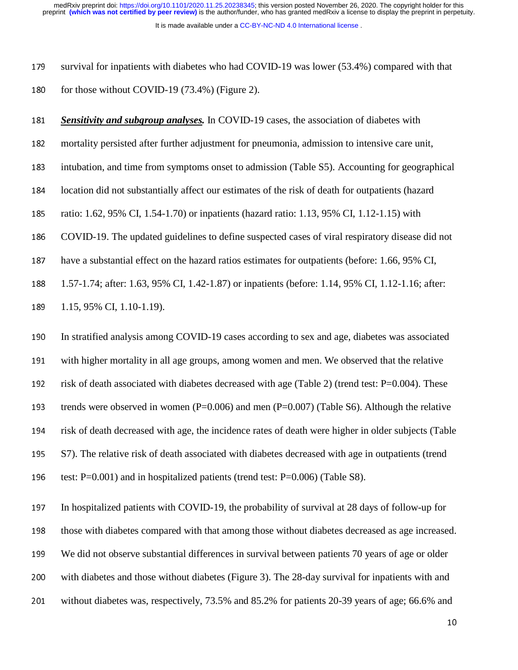It is made available under a [CC-BY-NC-ND 4.0 International license](http://creativecommons.org/licenses/by-nc-nd/4.0/) . preprint **(which was not certified by peer review)** is the author/funder, who has granted medRxiv a license to display the preprint in perpetuity. medRxiv preprint doi: [https://doi.org/10.1101/2020.11.25.20238345;](https://doi.org/10.1101/2020.11.25.20238345) this version posted November 26, 2020. The copyright holder for this

179 survival for inpatients with diabetes who had COVID-19 was lower (53.4%) compared with that 180 for those without COVID-19  $(73.4\%)$  (Figure 2).

<sup>181</sup>*Sensitivity and subgroup analyses.* In COVID-19 cases, the association of diabetes with

182 mortality persisted after further adjustment for pneumonia, admission to intensive care unit,

183 intubation, and time from symptoms onset to admission (Table S5). Accounting for geographical

<sup>184</sup>location did not substantially affect our estimates of the risk of death for outpatients (hazard

185 ratio: 1.62, 95% CI, 1.54-1.70) or inpatients (hazard ratio: 1.13, 95% CI, 1.12-1.15) with

186 COVID-19. The updated guidelines to define suspected cases of viral respiratory disease did not

187 have a substantial effect on the hazard ratios estimates for outpatients (before: 1.66, 95% CI,

<sup>188</sup>1.57-1.74; after: 1.63, 95% CI, 1.42-1.87) or inpatients (before: 1.14, 95% CI, 1.12-1.16; after:

189 1.15, 95% CI, 1.10-1.19).

190 In stratified analysis among COVID-19 cases according to sex and age, diabetes was associated 191 with higher mortality in all age groups, among women and men. We observed that the relative 192 risk of death associated with diabetes decreased with age (Table 2) (trend test:  $P=0.004$ ). These 193 trends were observed in women  $(P=0.006)$  and men  $(P=0.007)$  (Table S6). Although the relative 194 risk of death decreased with age, the incidence rates of death were higher in older subjects (Table 195 S7). The relative risk of death associated with diabetes decreased with age in outpatients (trend 196 test:  $P=0.001$ ) and in hospitalized patients (trend test:  $P=0.006$ ) (Table S8).

197 In hospitalized patients with COVID-19, the probability of survival at 28 days of follow-up for 198 those with diabetes compared with that among those without diabetes decreased as age increased. <sup>199</sup>We did not observe substantial differences in survival between patients 70 years of age or older 200 with diabetes and those without diabetes (Figure 3). The 28-day survival for inpatients with and 201 without diabetes was, respectively, 73.5% and 85.2% for patients 20-39 years of age; 66.6% and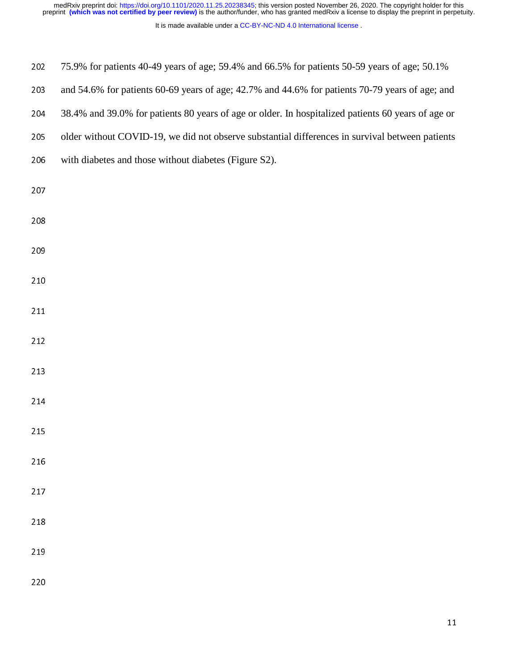| 202 | 75.9% for patients 40-49 years of age; 59.4% and 66.5% for patients 50-59 years of age; 50.1%      |
|-----|----------------------------------------------------------------------------------------------------|
| 203 | and 54.6% for patients 60-69 years of age; 42.7% and 44.6% for patients 70-79 years of age; and    |
| 204 | 38.4% and 39.0% for patients 80 years of age or older. In hospitalized patients 60 years of age or |
| 205 | older without COVID-19, we did not observe substantial differences in survival between patients    |
| 206 | with diabetes and those without diabetes (Figure S2).                                              |
| 207 |                                                                                                    |
| 208 |                                                                                                    |
| 209 |                                                                                                    |
| 210 |                                                                                                    |
| 211 |                                                                                                    |
| 212 |                                                                                                    |
| 213 |                                                                                                    |
| 214 |                                                                                                    |
| 215 |                                                                                                    |
| 216 |                                                                                                    |

- 217
- 
- 219
- 220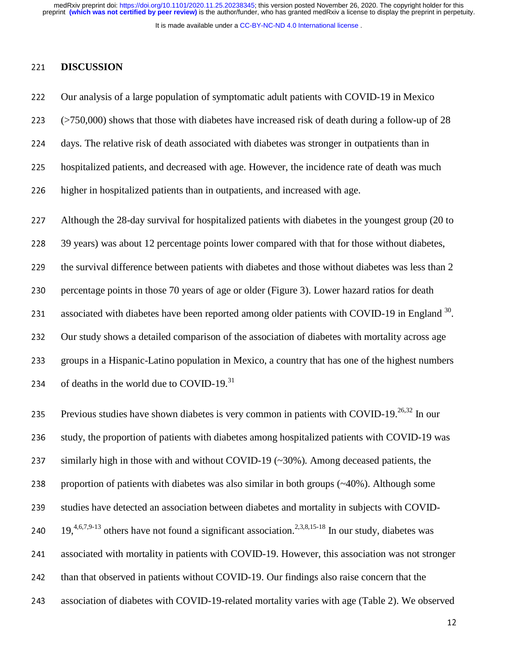It is made available under a [CC-BY-NC-ND 4.0 International license](http://creativecommons.org/licenses/by-nc-nd/4.0/) .

#### <sup>221</sup>**DISCUSSION**

222 Our analysis of a large population of symptomatic adult patients with COVID-19 in Mexico <sup>223</sup>(>750,000) shows that those with diabetes have increased risk of death during a follow-up of 28 <sup>224</sup>days. The relative risk of death associated with diabetes was stronger in outpatients than in 225 hospitalized patients, and decreased with age. However, the incidence rate of death was much 226 higher in hospitalized patients than in outpatients, and increased with age. 227 Although the 28-day survival for hospitalized patients with diabetes in the youngest group (20 to 228 39 years) was about 12 percentage points lower compared with that for those without diabetes, 229 the survival difference between patients with diabetes and those without diabetes was less than 2 230 percentage points in those 70 years of age or older (Figure 3). Lower hazard ratios for death 231 associated with diabetes have been reported among older patients with COVID-19 in England  $^{30}$ . 232 Our study shows a detailed comparison of the association of diabetes with mortality across age 233 groups in a Hispanic-Latino population in Mexico, a country that has one of the highest numbers 234 of deaths in the world due to COVID-19. $31$ 235 Previous studies have shown diabetes is very common in patients with COVID-19.<sup>26,32</sup> In our 236 study, the proportion of patients with diabetes among hospitalized patients with COVID-19 was 237 similarly high in those with and without COVID-19 ( $\sim$ 30%). Among deceased patients, the 238 proportion of patients with diabetes was also similar in both groups  $({\sim}40\%)$ . Although some 239 studies have detected an association between diabetes and mortality in subjects with COVID-240  $19, \frac{4,6,7,9-13}{4}$  others have not found a significant association.<sup>2,3,8,15-18</sup> In our study, diabetes was 241 associated with mortality in patients with COVID-19. However, this association was not stronger 242 than that observed in patients without COVID-19. Our findings also raise concern that the 243 association of diabetes with COVID-19-related mortality varies with age (Table 2). We observed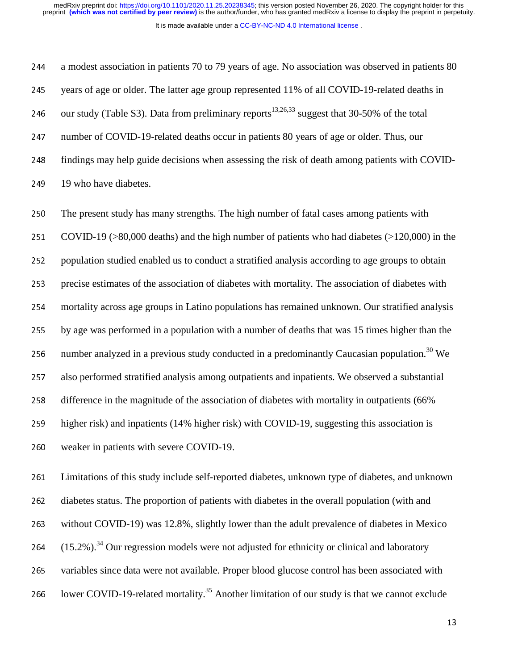It is made available under a [CC-BY-NC-ND 4.0 International license](http://creativecommons.org/licenses/by-nc-nd/4.0/) .

244 a modest association in patients 70 to 79 years of age. No association was observed in patients 80 245 years of age or older. The latter age group represented 11% of all COVID-19-related deaths in 246 our study (Table S3). Data from preliminary reports<sup>13,26,33</sup> suggest that 30-50% of the total 247 number of COVID-19-related deaths occur in patients 80 years of age or older. Thus, our 248 findings may help guide decisions when assessing the risk of death among patients with COVID-249 19 who have diabetes.

250 The present study has many strengths. The high number of fatal cases among patients with 251 COVID-19 ( $>80,000$  deaths) and the high number of patients who had diabetes ( $>120,000$ ) in the 252 population studied enabled us to conduct a stratified analysis according to age groups to obtain 253 precise estimates of the association of diabetes with mortality. The association of diabetes with 254 mortality across age groups in Latino populations has remained unknown. Our stratified analysis <sup>255</sup>by age was performed in a population with a number of deaths that was 15 times higher than the 256 number analyzed in a previous study conducted in a predominantly Caucasian population.<sup>30</sup> We 257 also performed stratified analysis among outpatients and inpatients. We observed a substantial 258 difference in the magnitude of the association of diabetes with mortality in outpatients (66% 259 higher risk) and inpatients (14% higher risk) with COVID-19, suggesting this association is 260 weaker in patients with severe COVID-19.

261 Limitations of this study include self-reported diabetes, unknown type of diabetes, and unknown 262 diabetes status. The proportion of patients with diabetes in the overall population (with and 263 without COVID-19) was 12.8%, slightly lower than the adult prevalence of diabetes in Mexico 264  $(15.2\%)$ <sup>34</sup> Our regression models were not adjusted for ethnicity or clinical and laboratory 265 variables since data were not available. Proper blood glucose control has been associated with 266 Iower COVID-19-related mortality.<sup>35</sup> Another limitation of our study is that we cannot exclude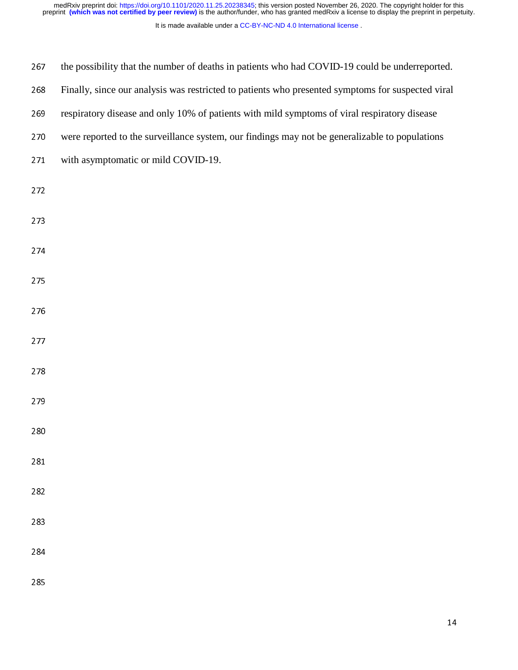| 267 | the possibility that the number of deaths in patients who had COVID-19 could be underreported.    |
|-----|---------------------------------------------------------------------------------------------------|
| 268 | Finally, since our analysis was restricted to patients who presented symptoms for suspected viral |
| 269 | respiratory disease and only 10% of patients with mild symptoms of viral respiratory disease      |
| 270 | were reported to the surveillance system, our findings may not be generalizable to populations    |
| 271 | with asymptomatic or mild COVID-19.                                                               |
| 272 |                                                                                                   |
| 273 |                                                                                                   |
| 274 |                                                                                                   |
| 275 |                                                                                                   |
| 276 |                                                                                                   |
| 277 |                                                                                                   |
| 278 |                                                                                                   |
| 279 |                                                                                                   |
| 280 |                                                                                                   |
| 281 |                                                                                                   |
| 282 |                                                                                                   |
| 283 |                                                                                                   |
| 284 |                                                                                                   |
| 285 |                                                                                                   |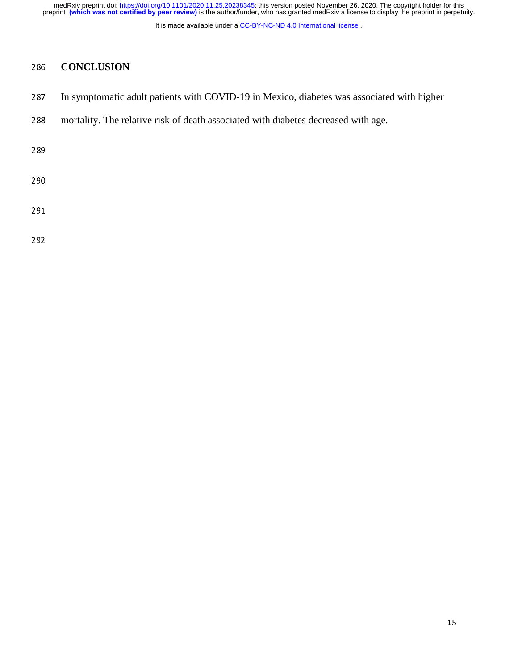It is made available under a [CC-BY-NC-ND 4.0 International license](http://creativecommons.org/licenses/by-nc-nd/4.0/) .

# 286 **CONCLUSION**

- 287 In symptomatic adult patients with COVID-19 in Mexico, diabetes was associated with higher
- 288 mortality. The relative risk of death associated with diabetes decreased with age.

289

290

292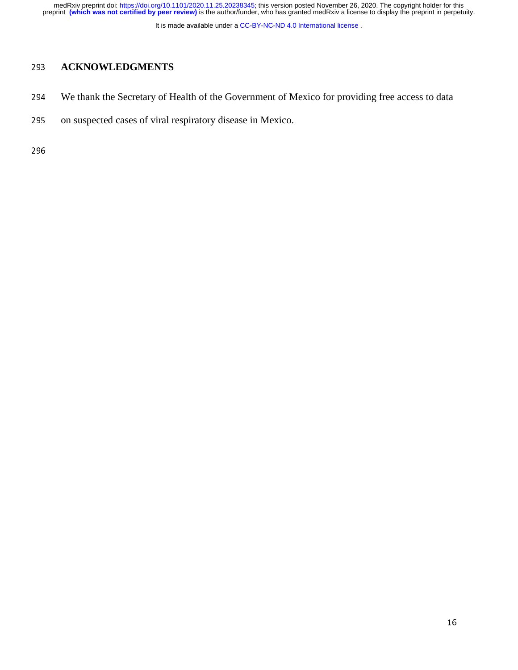It is made available under a [CC-BY-NC-ND 4.0 International license](http://creativecommons.org/licenses/by-nc-nd/4.0/) .

# <sup>293</sup>**ACKNOWLEDGMENTS**

- 294 We thank the Secretary of Health of the Government of Mexico for providing free access to data
- 295 on suspected cases of viral respiratory disease in Mexico.

296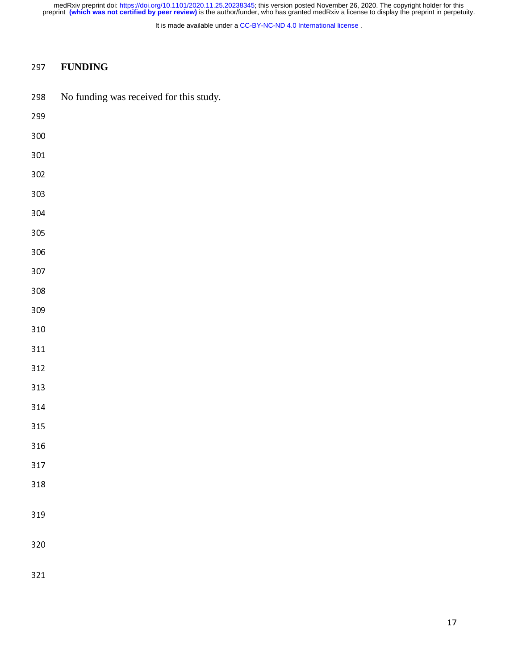It is made available under a [CC-BY-NC-ND 4.0 International license](http://creativecommons.org/licenses/by-nc-nd/4.0/) .

# **FUNDING**

298 No funding was received for this study.

| 299     |  |  |  |
|---------|--|--|--|
| $300\,$ |  |  |  |
| $301\,$ |  |  |  |
| 302     |  |  |  |
| 303     |  |  |  |
| 304     |  |  |  |
| 305     |  |  |  |
| 306     |  |  |  |
| 307     |  |  |  |
| $308\,$ |  |  |  |
| 309     |  |  |  |
| $310\,$ |  |  |  |
| $311$   |  |  |  |
| $312\,$ |  |  |  |
| $313\,$ |  |  |  |
| $314\,$ |  |  |  |
| $315\,$ |  |  |  |
| $316\,$ |  |  |  |
| $317\,$ |  |  |  |
| 318     |  |  |  |
| 319     |  |  |  |
|         |  |  |  |
| 320     |  |  |  |
| 321     |  |  |  |
|         |  |  |  |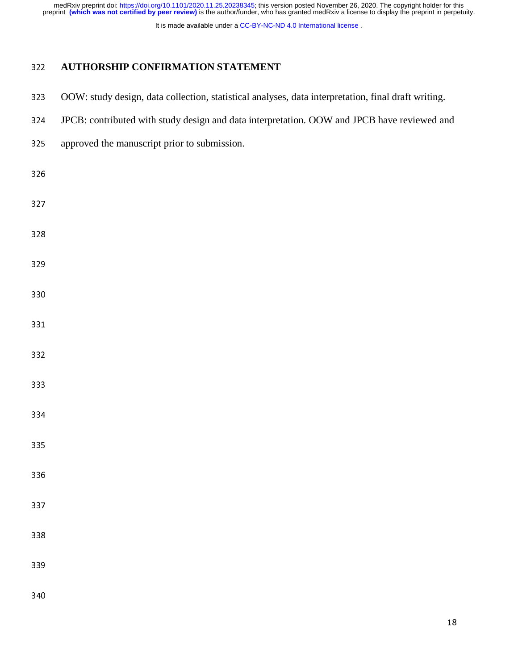It is made available under a [CC-BY-NC-ND 4.0 International license](http://creativecommons.org/licenses/by-nc-nd/4.0/) .

# **AUTHORSHIP CONFIRMATION STATEMENT**

| 323 | OOW: study design, data collection, statistical analyses, data interpretation, final draft writing. |
|-----|-----------------------------------------------------------------------------------------------------|
| 324 | JPCB: contributed with study design and data interpretation. OOW and JPCB have reviewed and         |
| 325 | approved the manuscript prior to submission.                                                        |
| 326 |                                                                                                     |
| 327 |                                                                                                     |
| 328 |                                                                                                     |
| 329 |                                                                                                     |
| 330 |                                                                                                     |
| 331 |                                                                                                     |
| 332 |                                                                                                     |
| 333 |                                                                                                     |
| 334 |                                                                                                     |
| 335 |                                                                                                     |
| 336 |                                                                                                     |
| 337 |                                                                                                     |
| 338 |                                                                                                     |
| 339 |                                                                                                     |
| 340 |                                                                                                     |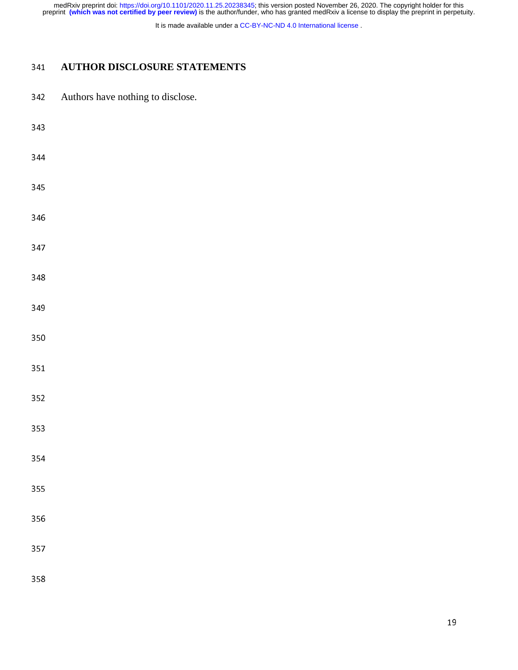It is made available under a [CC-BY-NC-ND 4.0 International license](http://creativecommons.org/licenses/by-nc-nd/4.0/) .

# **AUTHOR DISCLOSURE STATEMENTS**

342 Authors have nothing to disclose.

| 343 |  |  |  |
|-----|--|--|--|
| 344 |  |  |  |
| 345 |  |  |  |
| 346 |  |  |  |
| 347 |  |  |  |
| 348 |  |  |  |
| 349 |  |  |  |
| 350 |  |  |  |
| 351 |  |  |  |
| 352 |  |  |  |
| 353 |  |  |  |
| 354 |  |  |  |
| 355 |  |  |  |
| 356 |  |  |  |
| 357 |  |  |  |
|     |  |  |  |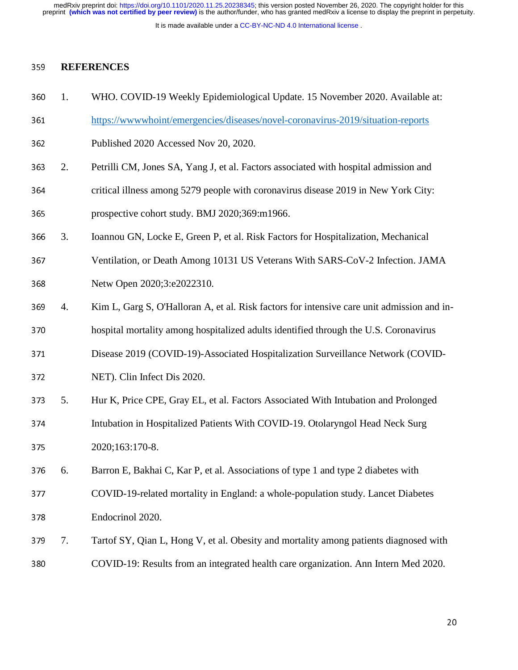It is made available under a [CC-BY-NC-ND 4.0 International license](http://creativecommons.org/licenses/by-nc-nd/4.0/) .

#### <sup>359</sup>**REFERENCES**

- <sup>360</sup>1. WHO. COVID-19 Weekly Epidemiological Update. 15 November 2020. Available at:
- 361 https://www.whoint/emergencies/diseases/novel-coronavirus-2019/situation-reports
- 362 Published 2020 Accessed Nov 20, 2020.
- <sup>363</sup>2. Petrilli CM, Jones SA, Yang J, et al. Factors associated with hospital admission and
- 364 critical illness among 5279 people with coronavirus disease 2019 in New York City:
- 365 prospective cohort study. BMJ 2020;369:m1966.
- <sup>366</sup>3. Ioannou GN, Locke E, Green P, et al. Risk Factors for Hospitalization, Mechanical
- 367 Ventilation, or Death Among 10131 US Veterans With SARS-CoV-2 Infection. JAMA 368 Netw Open 2020;3:e2022310.
- 369 4. Kim L, Garg S, O'Halloran A, et al. Risk factors for intensive care unit admission and in-
- 370 hospital mortality among hospitalized adults identified through the U.S. Coronavirus
- 371 Disease 2019 (COVID-19)-Associated Hospitalization Surveillance Network (COVID-
- 372 NET). Clin Infect Dis 2020.
- <sup>373</sup>5. Hur K, Price CPE, Gray EL, et al. Factors Associated With Intubation and Prolonged <sup>374</sup>Intubation in Hospitalized Patients With COVID-19. Otolaryngol Head Neck Surg
- 375 2020;163:170-8.
- <sup>376</sup>6. Barron E, Bakhai C, Kar P, et al. Associations of type 1 and type 2 diabetes with
- <sup>377</sup>COVID-19-related mortality in England: a whole-population study. Lancet Diabetes <sup>378</sup>Endocrinol 2020.
- 379 7. Tartof SY, Qian L, Hong V, et al. Obesity and mortality among patients diagnosed with <sup>380</sup>COVID-19: Results from an integrated health care organization. Ann Intern Med 2020.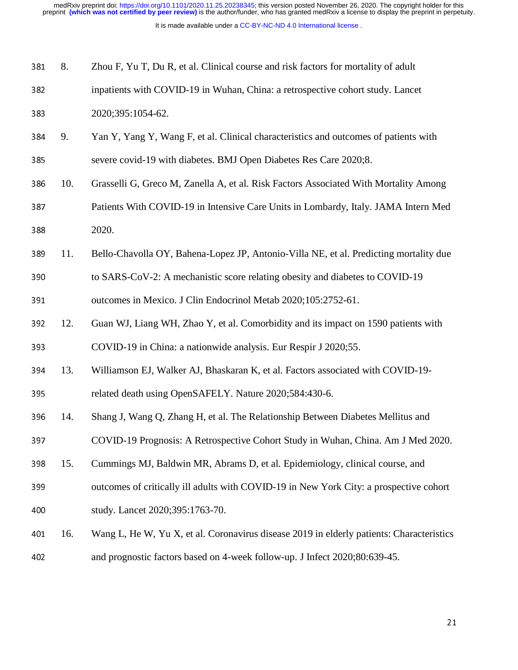| 381 | 8.  | Zhou F, Yu T, Du R, et al. Clinical course and risk factors for mortality of adult       |
|-----|-----|------------------------------------------------------------------------------------------|
| 382 |     | inpatients with COVID-19 in Wuhan, China: a retrospective cohort study. Lancet           |
| 383 |     | 2020;395:1054-62.                                                                        |
| 384 | 9.  | Yan Y, Yang Y, Wang F, et al. Clinical characteristics and outcomes of patients with     |
| 385 |     | severe covid-19 with diabetes. BMJ Open Diabetes Res Care 2020;8.                        |
| 386 | 10. | Grasselli G, Greco M, Zanella A, et al. Risk Factors Associated With Mortality Among     |
| 387 |     | Patients With COVID-19 in Intensive Care Units in Lombardy, Italy. JAMA Intern Med       |
| 388 |     | 2020.                                                                                    |
| 389 | 11. | Bello-Chavolla OY, Bahena-Lopez JP, Antonio-Villa NE, et al. Predicting mortality due    |
| 390 |     | to SARS-CoV-2: A mechanistic score relating obesity and diabetes to COVID-19             |
| 391 |     | outcomes in Mexico. J Clin Endocrinol Metab 2020;105:2752-61.                            |
| 392 | 12. | Guan WJ, Liang WH, Zhao Y, et al. Comorbidity and its impact on 1590 patients with       |
| 393 |     | COVID-19 in China: a nationwide analysis. Eur Respir J 2020;55.                          |
| 394 | 13. | Williamson EJ, Walker AJ, Bhaskaran K, et al. Factors associated with COVID-19-          |
| 395 |     | related death using OpenSAFELY. Nature 2020;584:430-6.                                   |
| 396 | 14. | Shang J, Wang Q, Zhang H, et al. The Relationship Between Diabetes Mellitus and          |
| 397 |     | COVID-19 Prognosis: A Retrospective Cohort Study in Wuhan, China. Am J Med 2020.         |
| 398 | 15. | Cummings MJ, Baldwin MR, Abrams D, et al. Epidemiology, clinical course, and             |
| 399 |     | outcomes of critically ill adults with COVID-19 in New York City: a prospective cohort   |
| 400 |     | study. Lancet 2020;395:1763-70.                                                          |
| 401 | 16. | Wang L, He W, Yu X, et al. Coronavirus disease 2019 in elderly patients: Characteristics |
| 402 |     | and prognostic factors based on 4-week follow-up. J Infect 2020;80:639-45.               |
|     |     |                                                                                          |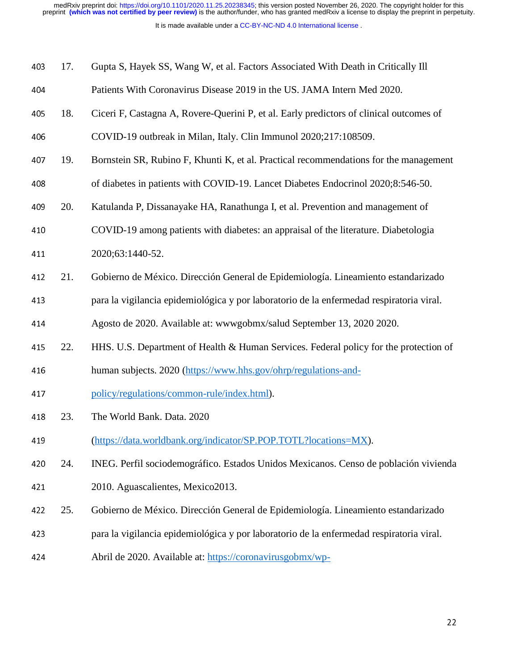| 403 | 17. | Gupta S, Hayek SS, Wang W, et al. Factors Associated With Death in Critically Ill        |
|-----|-----|------------------------------------------------------------------------------------------|
| 404 |     | Patients With Coronavirus Disease 2019 in the US. JAMA Intern Med 2020.                  |
| 405 | 18. | Ciceri F, Castagna A, Rovere-Querini P, et al. Early predictors of clinical outcomes of  |
| 406 |     | COVID-19 outbreak in Milan, Italy. Clin Immunol 2020;217:108509.                         |
| 407 | 19. | Bornstein SR, Rubino F, Khunti K, et al. Practical recommendations for the management    |
| 408 |     | of diabetes in patients with COVID-19. Lancet Diabetes Endocrinol 2020;8:546-50.         |
| 409 | 20. | Katulanda P, Dissanayake HA, Ranathunga I, et al. Prevention and management of           |
| 410 |     | COVID-19 among patients with diabetes: an appraisal of the literature. Diabetologia      |
| 411 |     | 2020;63:1440-52.                                                                         |
| 412 | 21. | Gobierno de México. Dirección General de Epidemiología. Lineamiento estandarizado        |
| 413 |     | para la vigilancia epidemiológica y por laboratorio de la enfermedad respiratoria viral. |
| 414 |     | Agosto de 2020. Available at: www.gobmx/salud September 13, 2020 2020.                   |
| 415 | 22. | HHS. U.S. Department of Health & Human Services. Federal policy for the protection of    |
| 416 |     | human subjects. 2020 (https://www.hhs.gov/ohrp/regulations-and-                          |
| 417 |     | policy/regulations/common-rule/index.html).                                              |
| 418 | 23. | The World Bank. Data. 2020                                                               |
| 419 |     | (https://data.worldbank.org/indicator/SP.POP.TOTL?locations=MX).                         |
| 420 | 24. | INEG. Perfil sociodemográfico. Estados Unidos Mexicanos. Censo de población vivienda     |
| 421 |     | 2010. Aguascalientes, Mexico2013.                                                        |
| 422 | 25. | Gobierno de México. Dirección General de Epidemiología. Lineamiento estandarizado        |
| 423 |     | para la vigilancia epidemiológica y por laboratorio de la enfermedad respiratoria viral. |
| 424 |     | Abril de 2020. Available at: https://coronavirusgobmx/wp-                                |
|     |     |                                                                                          |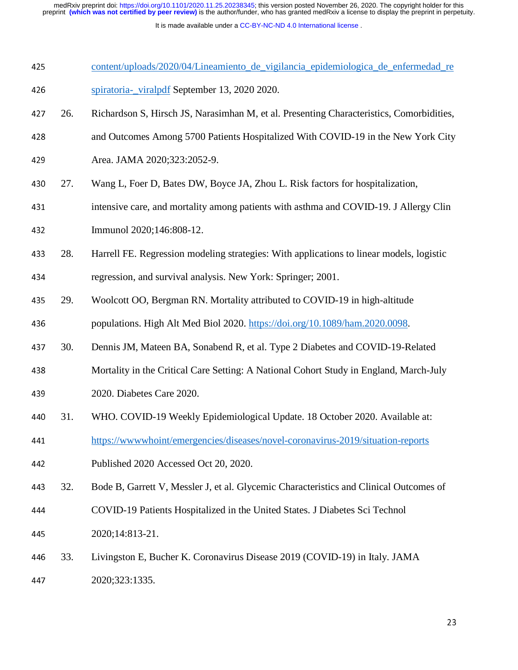- 425 content/uploads/2020/04/Lineamiento de vigilancia epidemiologica de enfermedad re <sup>426</sup>spiratoria-\_viralpdf September 13, 2020 2020.
- 427 26. Richardson S, Hirsch JS, Narasimhan M, et al. Presenting Characteristics, Comorbidities,
- <sup>428</sup>and Outcomes Among 5700 Patients Hospitalized With COVID-19 in the New York City
- 429 Area. JAMA 2020;323:2052-9.
- 430 27. Wang L, Foer D, Bates DW, Boyce JA, Zhou L. Risk factors for hospitalization,
- 431 intensive care, and mortality among patients with asthma and COVID-19. J Allergy Clin
- 432 **Immunol** 2020;146:808-12.
- <sup>433</sup>28. Harrell FE. Regression modeling strategies: With applications to linear models, logistic
- 434 regression, and survival analysis. New York: Springer; 2001.
- 435 29. Woolcott OO, Bergman RN. Mortality attributed to COVID-19 in high-altitude
- 436 populations. High Alt Med Biol 2020. https://doi.org/10.1089/ham.2020.0098.
- <sup>437</sup>30. Dennis JM, Mateen BA, Sonabend R, et al. Type 2 Diabetes and COVID-19-Related
- 438 Mortality in the Critical Care Setting: A National Cohort Study in England, March-July
- 439 2020. Diabetes Care 2020.
- 440 31. WHO. COVID-19 Weekly Epidemiological Update. 18 October 2020. Available at:
- <sup>441</sup>https://wwwwhoint/emergencies/diseases/novel-coronavirus-2019/situation-reports
- 442 Published 2020 Accessed Oct 20, 2020.
- <sup>443</sup>32. Bode B, Garrett V, Messler J, et al. Glycemic Characteristics and Clinical Outcomes of
- <sup>444</sup>COVID-19 Patients Hospitalized in the United States. J Diabetes Sci Technol
- 445 2020;14:813-21.
- <sup>446</sup>33. Livingston E, Bucher K. Coronavirus Disease 2019 (COVID-19) in Italy. JAMA
- 447 2020;323:1335.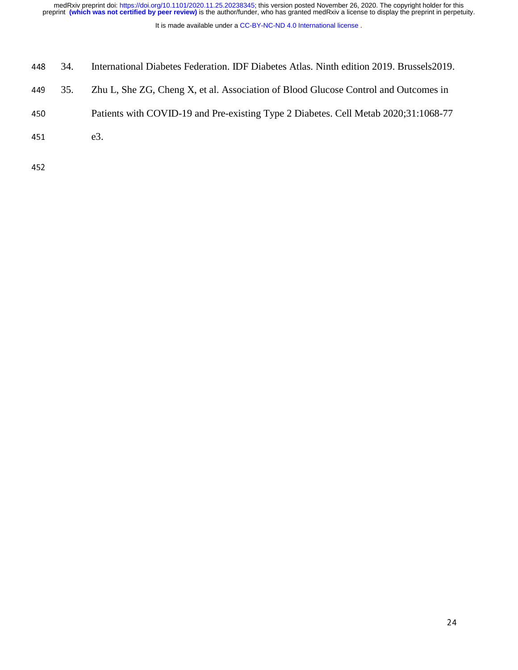- <sup>448</sup>34. International Diabetes Federation. IDF Diabetes Atlas. Ninth edition 2019. Brussels2019.
- 449 35. Zhu L, She ZG, Cheng X, et al. Association of Blood Glucose Control and Outcomes in
- 450 Patients with COVID-19 and Pre-existing Type 2 Diabetes. Cell Metab 2020;31:1068-77
- 451 e3.
- 452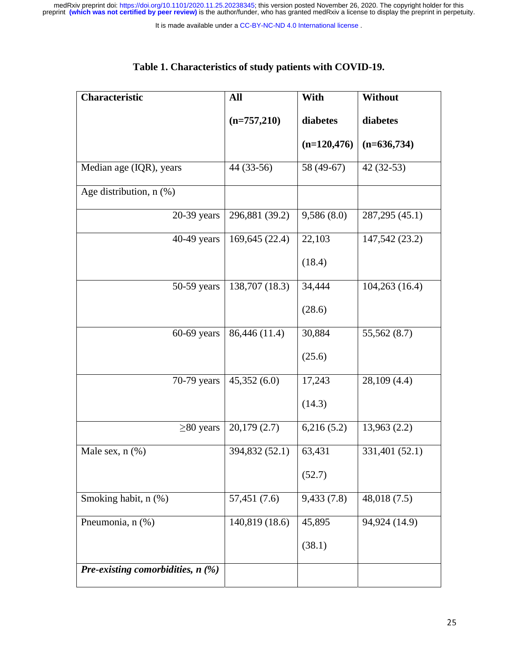| Table 1. Characteristics of study patients with COVID-19. |  |
|-----------------------------------------------------------|--|
|-----------------------------------------------------------|--|

| <b>Characteristic</b>               | All            | With          | Without         |
|-------------------------------------|----------------|---------------|-----------------|
|                                     | $(n=757,210)$  | diabetes      | diabetes        |
|                                     |                | $(n=120,476)$ | $(n=636,734)$   |
| Median age (IQR), years             | 44 (33-56)     | 58 (49-67)    | $42(32-53)$     |
| Age distribution, n (%)             |                |               |                 |
| $20-39$ years                       | 296,881 (39.2) | 9,586(8.0)    | 287, 295 (45.1) |
| 40-49 years                         | 169,645 (22.4) | 22,103        | 147,542 (23.2)  |
|                                     |                | (18.4)        |                 |
| $50-59$ years                       | 138,707 (18.3) | 34,444        | 104,263(16.4)   |
|                                     |                | (28.6)        |                 |
| $60-69$ years                       | 86,446 (11.4)  | 30,884        | 55,562 (8.7)    |
|                                     |                | (25.6)        |                 |
| 70-79 years                         | 45,352(6.0)    | 17,243        | 28,109 (4.4)    |
|                                     |                | (14.3)        |                 |
| $\geq$ 80 years                     | 20,179(2.7)    | 6,216(5.2)    | 13,963(2.2)     |
| Male sex, $n$ $(\%)$                | 394,832 (52.1) | 63,431        | 331,401 (52.1)  |
|                                     |                | (52.7)        |                 |
| Smoking habit, n (%)                | 57,451 (7.6)   | 9,433(7.8)    | 48,018(7.5)     |
| Pneumonia, n (%)                    | 140,819 (18.6) | 45,895        | 94,924 (14.9)   |
|                                     |                | (38.1)        |                 |
| Pre-existing comorbidities, $n$ (%) |                |               |                 |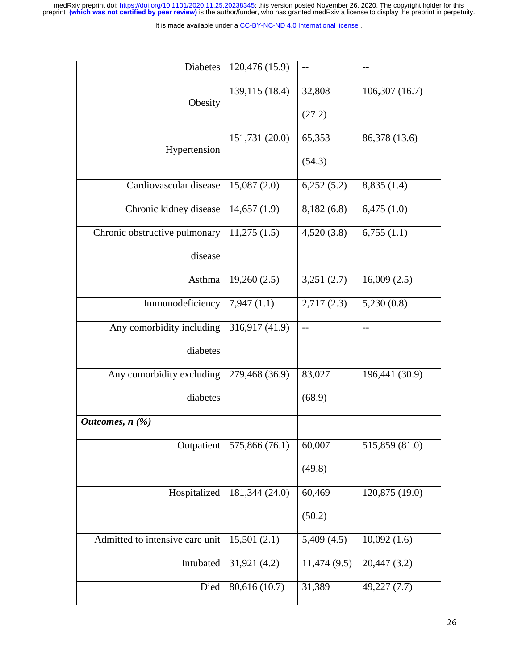| <b>Diabetes</b>                     | 120,476 (15.9) | $-$         | $-$            |
|-------------------------------------|----------------|-------------|----------------|
| Obesity                             | 139,115 (18.4) | 32,808      | 106,307(16.7)  |
|                                     |                | (27.2)      |                |
|                                     | 151,731 (20.0) | 65,353      | 86,378 (13.6)  |
| Hypertension                        |                | (54.3)      |                |
| Cardiovascular disease              | 15,087(2.0)    | 6,252(5.2)  | 8,835(1.4)     |
| Chronic kidney disease              | 14,657(1.9)    | 8,182(6.8)  | 6,475(1.0)     |
| Chronic obstructive pulmonary       | 11,275(1.5)    | 4,520(3.8)  | 6,755(1.1)     |
| disease                             |                |             |                |
| Asthma                              | 19,260(2.5)    | 3,251(2.7)  | 16,009(2.5)    |
| Immunodeficiency                    | 7,947(1.1)     | 2,717(2.3)  | 5,230(0.8)     |
| Any comorbidity including           | 316,917 (41.9) | $-$         | $-$            |
| diabetes                            |                |             |                |
| Any comorbidity excluding           | 279,468 (36.9) | 83,027      | 196,441 (30.9) |
| diabetes                            |                | (68.9)      |                |
| <i>Outcomes, <math>n</math> (%)</i> |                |             |                |
| Outpatient                          | 575,866 (76.1) | 60,007      | 515,859 (81.0) |
|                                     |                | (49.8)      |                |
| Hospitalized                        | 181,344 (24.0) | 60,469      | 120,875 (19.0) |
|                                     |                | (50.2)      |                |
| Admitted to intensive care unit     | 15,501(2.1)    | 5,409(4.5)  | 10,092(1.6)    |
| Intubated                           | 31,921 (4.2)   | 11,474(9.5) | 20,447 (3.2)   |
| Died                                | 80,616 (10.7)  | 31,389      | 49,227(7.7)    |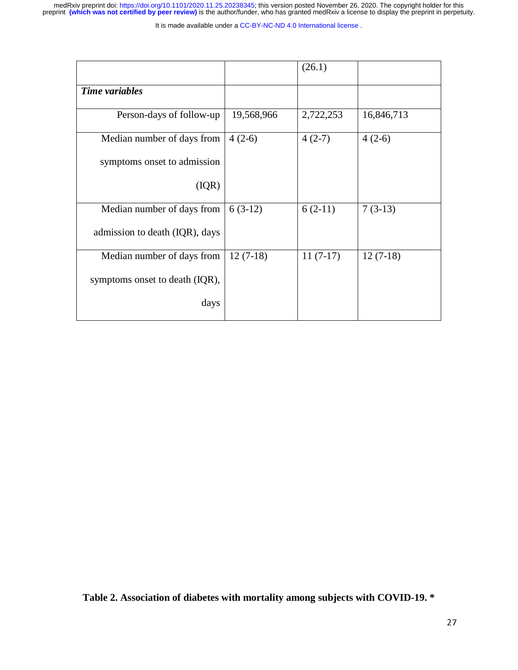It is made available under a [CC-BY-NC-ND 4.0 International license](http://creativecommons.org/licenses/by-nc-nd/4.0/) .

|                                |            | (26.1)     |            |
|--------------------------------|------------|------------|------------|
| Time variables                 |            |            |            |
| Person-days of follow-up       | 19,568,966 | 2,722,253  | 16,846,713 |
| Median number of days from     | $4(2-6)$   | $4(2-7)$   | $4(2-6)$   |
| symptoms onset to admission    |            |            |            |
| (IQR)                          |            |            |            |
| Median number of days from     | $6(3-12)$  | $6(2-11)$  | $7(3-13)$  |
| admission to death (IQR), days |            |            |            |
| Median number of days from     | $12(7-18)$ | $11(7-17)$ | $12(7-18)$ |
| symptoms onset to death (IQR), |            |            |            |
| days                           |            |            |            |

**Table 2. Association of diabetes with mortality among subjects with COVID-19. \***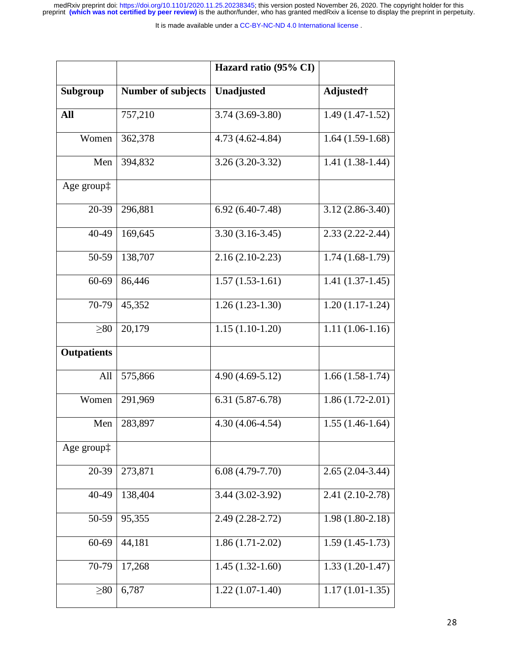|                      |                           | Hazard ratio (95% CI) |                     |
|----------------------|---------------------------|-----------------------|---------------------|
| Subgroup             | <b>Number of subjects</b> | Unadjusted            | Adjusted†           |
| All                  | 757,210                   | $3.74(3.69-3.80)$     | $1.49(1.47-1.52)$   |
| Women                | 362,378                   | 4.73 (4.62-4.84)      | $1.64(1.59-1.68)$   |
| Men                  | 394,832                   | $3.26(3.20-3.32)$     | $1.41(1.38-1.44)$   |
| Age group $\ddagger$ |                           |                       |                     |
| 20-39                | 296,881                   | $6.92(6.40-7.48)$     | $3.12(2.86 - 3.40)$ |
| 40-49                | 169,645                   | $3.30(3.16-3.45)$     | $2.33(2.22 - 2.44)$ |
| 50-59                | 138,707                   | $2.16(2.10-2.23)$     | $1.74(1.68-1.79)$   |
| 60-69                | 86,446                    | $1.57(1.53-1.61)$     | $1.41(1.37-1.45)$   |
| 70-79                | 45,352                    | $1.26(1.23-1.30)$     | $1.20(1.17-1.24)$   |
| $\geq 80$            | 20,179                    | $1.15(1.10-1.20)$     | $1.11(1.06-1.16)$   |
| <b>Outpatients</b>   |                           |                       |                     |
| All                  | 575,866                   | $4.90(4.69-5.12)$     | $1.66(1.58-1.74)$   |
| Women                | 291,969                   | $6.31(5.87 - 6.78)$   | $1.86(1.72-2.01)$   |
| Men                  | 283,897                   | $4.30(4.06-4.54)$     | $1.55(1.46-1.64)$   |
| Age group:           |                           |                       |                     |
| 20-39                | 273,871                   | $6.08(4.79-7.70)$     | $2.65(2.04-3.44)$   |
| 40-49                | 138,404                   | 3.44 (3.02-3.92)      | $2.41(2.10-2.78)$   |
| 50-59                | 95,355                    | $2.49(2.28-2.72)$     | $1.98(1.80-2.18)$   |
| 60-69                | 44,181                    | $1.86(1.71-2.02)$     | $1.59(1.45-1.73)$   |
| 70-79                | 17,268                    | $1.45(1.32-1.60)$     | $1.33(1.20-1.47)$   |
| $\geq 80$            | 6,787                     | $1.22(1.07-1.40)$     | $1.17(1.01-1.35)$   |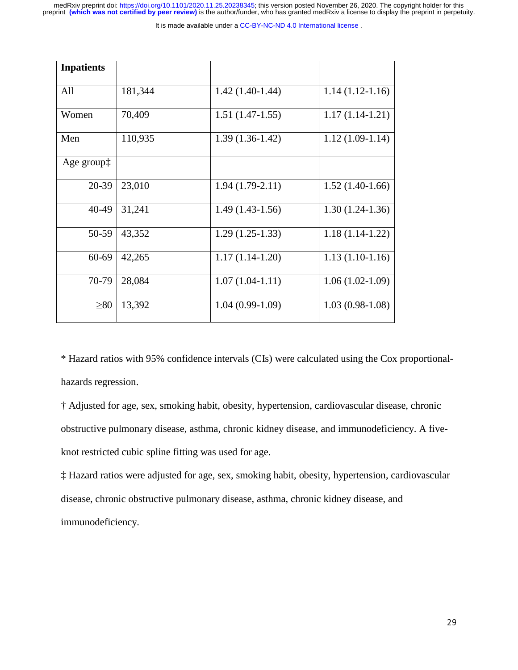It is made available under a CC-BY-NC-ND 4.0 International license.

| <b>Inpatients</b>    |         |                   |                   |
|----------------------|---------|-------------------|-------------------|
|                      |         |                   |                   |
| All                  | 181,344 | $1.42(1.40-1.44)$ | $1.14(1.12-1.16)$ |
| Women                | 70,409  | $1.51(1.47-1.55)$ | $1.17(1.14-1.21)$ |
| Men                  | 110,935 | $1.39(1.36-1.42)$ | $1.12(1.09-1.14)$ |
| Age group $\ddagger$ |         |                   |                   |
| 20-39                | 23,010  | $1.94(1.79-2.11)$ | $1.52(1.40-1.66)$ |
| 40-49                | 31,241  | $1.49(1.43-1.56)$ | $1.30(1.24-1.36)$ |
| 50-59                | 43,352  | $1.29(1.25-1.33)$ | $1.18(1.14-1.22)$ |
| 60-69                | 42,265  | $1.17(1.14-1.20)$ | $1.13(1.10-1.16)$ |
| 70-79                | 28,084  | $1.07(1.04-1.11)$ | $1.06(1.02-1.09)$ |
| $\geq 80$            | 13,392  | $1.04(0.99-1.09)$ | $1.03(0.98-1.08)$ |

\* Hazard ratios with 95% confidence intervals (CIs) were calculated using the Cox proportionalhazards regression.

† Adjusted for age, sex, smoking habit, obesity, hypertension, cardiovascular disease, chronic obstructive pulmonary disease, asthma, chronic kidney disease, and immunodeficiency. A fiveknot restricted cubic spline fitting was used for age.

‡ Hazard ratios were adjusted for age, sex, smoking habit, obesity, hypertension, cardiovascular disease, chronic obstructive pulmonary disease, asthma, chronic kidney disease, and immunodeficiency.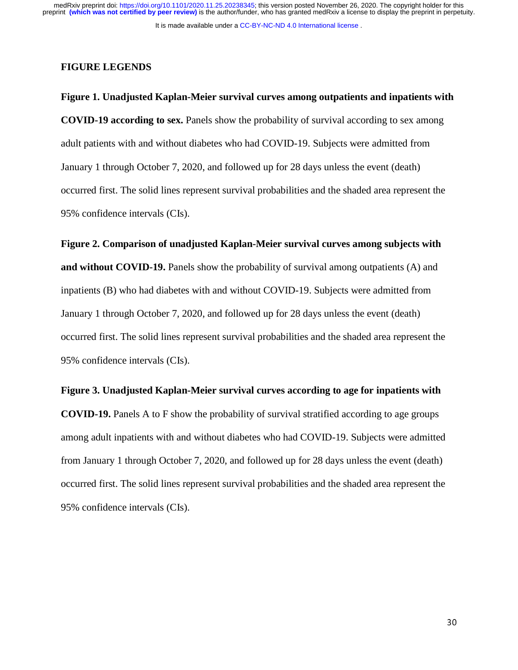It is made available under a [CC-BY-NC-ND 4.0 International license](http://creativecommons.org/licenses/by-nc-nd/4.0/) .

#### **FIGURE LEGENDS**

**Figure 1. Unadjusted Kaplan-Meier survival curves among outpatients and inpatients with COVID-19 according to sex.** Panels show the probability of survival according to sex among adult patients with and without diabetes who had COVID-19. Subjects were admitted from January 1 through October 7, 2020, and followed up for 28 days unless the event (death) occurred first. The solid lines represent survival probabilities and the shaded area represent the 95% confidence intervals (CIs).

**Figure 2. Comparison of unadjusted Kaplan-Meier survival curves among subjects with and without COVID-19.** Panels show the probability of survival among outpatients (A) and inpatients (B) who had diabetes with and without COVID-19. Subjects were admitted from January 1 through October 7, 2020, and followed up for 28 days unless the event (death) occurred first. The solid lines represent survival probabilities and the shaded area represent the 95% confidence intervals (CIs).

### **Figure 3. Unadjusted Kaplan-Meier survival curves according to age for inpatients with**

**COVID-19.** Panels A to F show the probability of survival stratified according to age groups among adult inpatients with and without diabetes who had COVID-19. Subjects were admitted from January 1 through October 7, 2020, and followed up for 28 days unless the event (death) occurred first. The solid lines represent survival probabilities and the shaded area represent the 95% confidence intervals (CIs).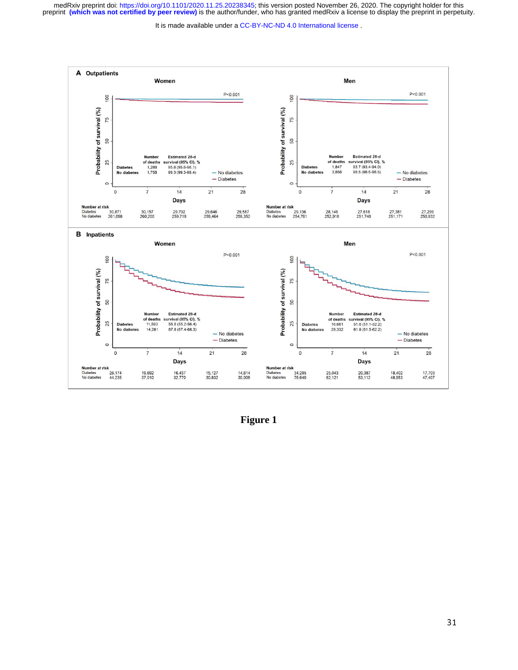

**Figure 1**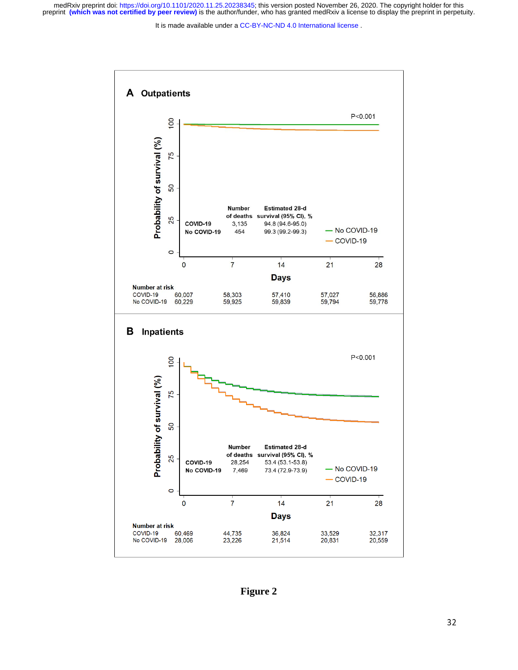It is made available under a [CC-BY-NC-ND 4.0 International license](http://creativecommons.org/licenses/by-nc-nd/4.0/) .



**Figure 2**